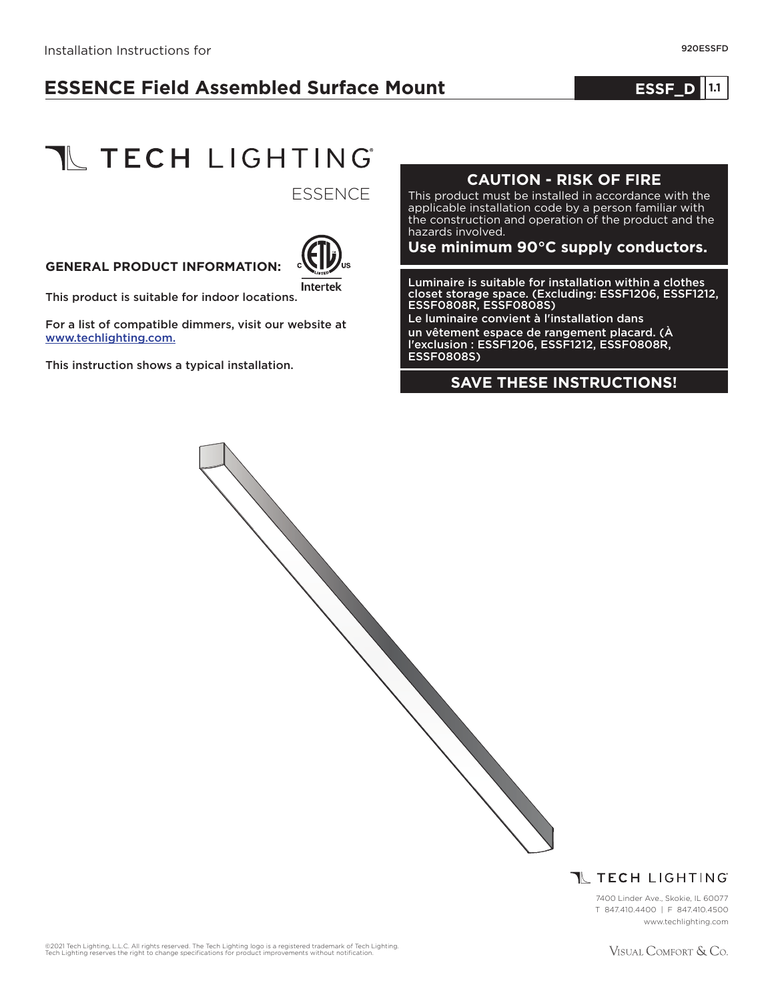# **ESSENCE Field Assembled Surface Mount**

#### **1.0 ESSF\_D 1.1**



**ESSENCE** 

#### **GENERAL PRODUCT INFORMATION:**



This product is suitable for indoor locations.

For a list of compatible dimmers, visit our website at www.techlighting.com.

This instruction shows a typical installation.

#### **CAUTION - RISK OF FIRE**

This product must be installed in accordance with the applicable installation code by a person familiar with the construction and operation of the product and the hazards involved.

#### **Use minimum 90°C supply conductors.**

Luminaire is suitable for installation within a clothes closet storage space. (Excluding: ESSF1206, ESSF1212, ESSF0808R, ESSF0808S)

Le luminaire convient à l'installation dans un vêtement espace de rangement placard. (À l'exclusion : ESSF1206, ESSF1212, ESSF0808R, ESSF0808S)

#### **SAVE THESE INSTRUCTIONS!**

**T** TECH LIGHTING

7400 Linder Ave., Skokie, IL 60077 T 847.410.4400 | F 847.410.4500 www.techlighting.com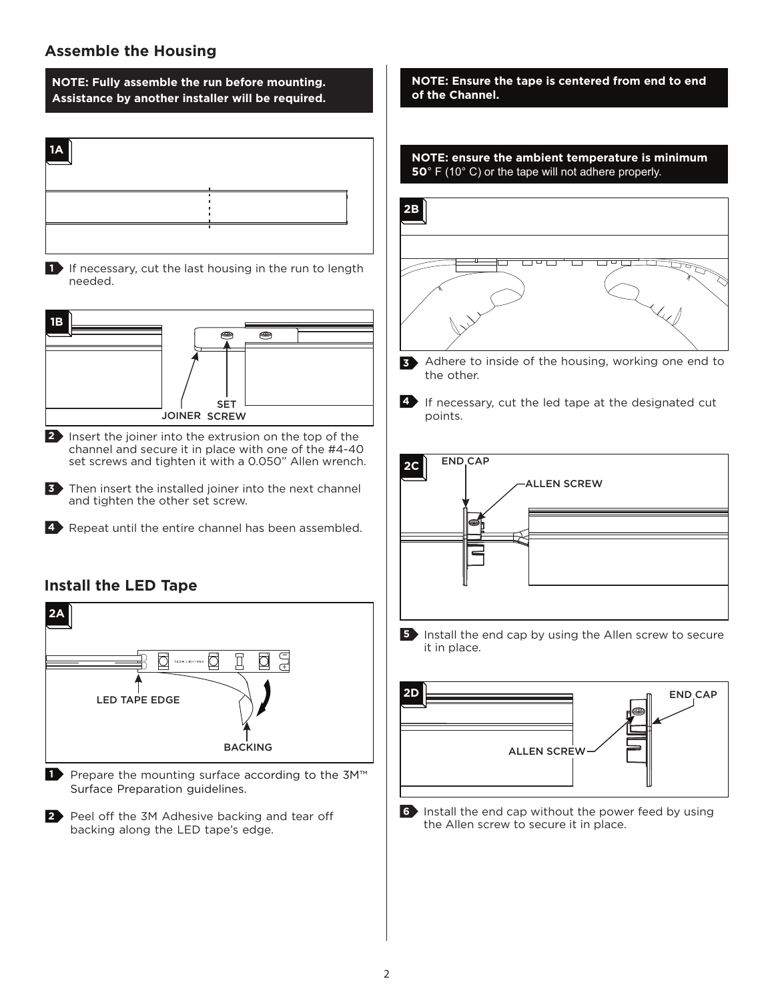# **Assemble the Housing**

**NOTE: Fully assemble the run before mounting. Assistance by another installer will be required.**

| ٠ |  |
|---|--|
|   |  |

**1** If necessary, cut the last housing in the run to length needed.



**2** Insert the joiner into the extrusion on the top of the channel and secure it in place with one of the #4-40 set screws and tighten it with a 0.050" Allen wrench.

**3** Then insert the installed joiner into the next channel and tighten the other set screw.

4 Repeat until the entire channel has been assembled.

## **Install the LED Tape**



■ Prepare the mounting surface according to the 3M<sup>™</sup> Surface Preparation guidelines.

**2** Peel off the 3M Adhesive backing and tear off backing along the LED tape's edge.

**NOTE: Ensure the tape is centered from end to end of the Channel.**





**3** Adhere to inside of the housing, working one end to the other.

**4** If necessary, cut the led tape at the designated cut points.



**5** Install the end cap by using the Allen screw to secure it in place.



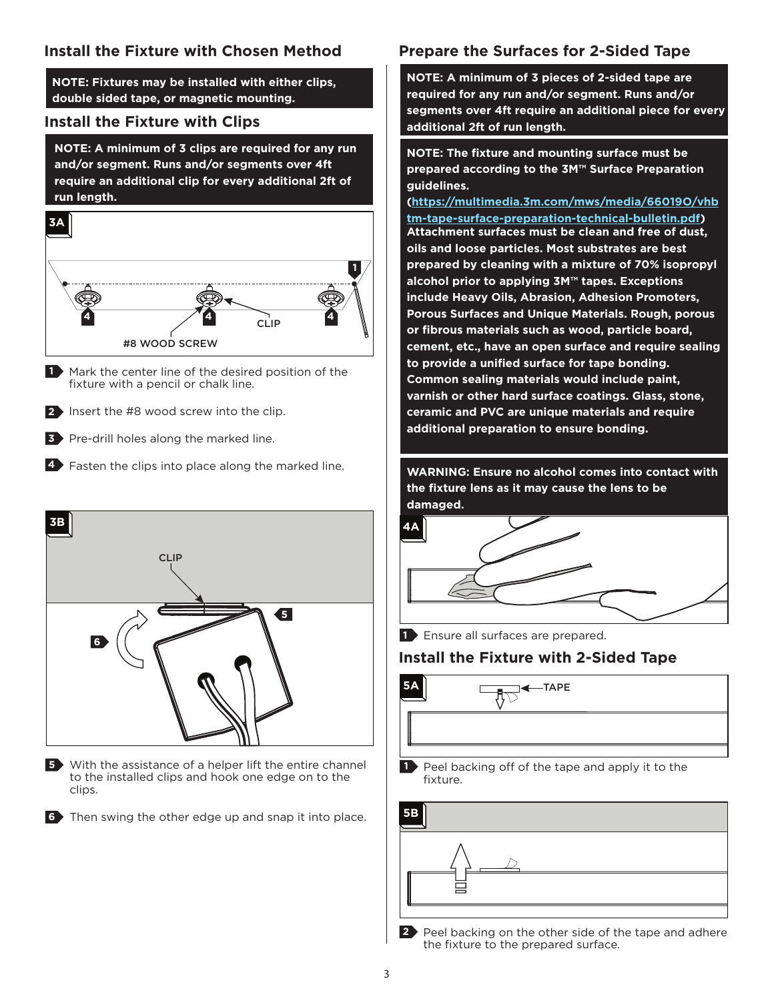**NOTE: Fixtures may be installed with either clips, double sided tape, or magnetic mounting.**

#### **Install the Fixture with Clips**

**NOTE: A minimum of 3 clips are required for any run and/or segment. Runs and/or segments over 4ft require an additional clip for every additional 2ft of run length.**



1 Mark the center line of the desired position of the fixture with a pencil or chalk line.

**2** Insert the #8 wood screw into the clip.

- **3** Pre-drill holes along the marked line.
- **4** Fasten the clips into place along the marked line.



**5** With the assistance of a helper lift the entire channel to the installed clips and hook one edge on to the clips.

Then swing the other edge up and snap it into place. **6**

# **Prepare the Surfaces for 2-Sided Tape**

**NOTE: A minimum of 3 pieces of 2-sided tape are required for any run and/or segment. Runs and/or segments over 4ft require an additional piece for every additional 2ft of run length.**

**NOTE: The fixture and mounting surface must be prepared according to the 3M™ Surface Preparation guidelines.**

**(https://multimedia.3m.com/mws/media/66019O/vhb tm-tape-surface-preparation-technical-bulletin.pdf) Attachment surfaces must be clean and free of dust, oils and loose particles. Most substrates are best prepared by cleaning with a mixture of 70% isopropyl alcohol prior to applying 3M™ tapes. Exceptions include Heavy Oils, Abrasion, Adhesion Promoters, Porous Surfaces and Unique Materials. Rough, porous or fibrous materials such as wood, particle board, cement, etc., have an open surface and require sealing to provide a unified surface for tape bonding. Common sealing materials would include paint, varnish or other hard surface coatings. Glass, stone, ceramic and PVC are unique materials and require additional preparation to ensure bonding.**

**WARNING: Ensure no alcohol comes into contact with the fixture lens as it may cause the lens to be damaged.**



**1** Ensure all surfaces are prepared.

## **Install the Fixture with 2-Sided Tape**



Peel backing off of the tape and apply it to the fixture. **1**

| <b>5B</b> |  |
|-----------|--|
|           |  |
|           |  |
|           |  |

**2** Peel backing on the other side of the tape and adhere the fixture to the prepared surface.